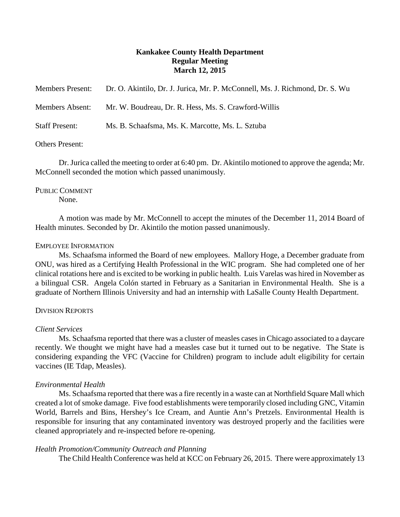# **Kankakee County Health Department Regular Meeting March 12, 2015**

| <b>Members Present:</b> | Dr. O. Akintilo, Dr. J. Jurica, Mr. P. McConnell, Ms. J. Richmond, Dr. S. Wu |
|-------------------------|------------------------------------------------------------------------------|
| <b>Members Absent:</b>  | Mr. W. Boudreau, Dr. R. Hess, Ms. S. Crawford-Willis                         |
| <b>Staff Present:</b>   | Ms. B. Schaafsma, Ms. K. Marcotte, Ms. L. Sztuba                             |
| Others Present:         |                                                                              |

Dr. Jurica called the meeting to order at 6:40 pm. Dr. Akintilo motioned to approve the agenda; Mr. McConnell seconded the motion which passed unanimously.

# PUBLIC COMMENT

None.

A motion was made by Mr. McConnell to accept the minutes of the December 11, 2014 Board of Health minutes. Seconded by Dr. Akintilo the motion passed unanimously.

## EMPLOYEE INFORMATION

Ms. Schaafsma informed the Board of new employees. Mallory Hoge, a December graduate from ONU, was hired as a Certifying Health Professional in the WIC program. She had completed one of her clinical rotations here and is excited to be working in public health. Luis Varelas was hired in November as a bilingual CSR. Angela Colón started in February as a Sanitarian in Environmental Health. She is a graduate of Northern Illinois University and had an internship with LaSalle County Health Department.

## DIVISION REPORTS

## *Client Services*

Ms. Schaafsma reported that there was a cluster of measles cases in Chicago associated to a daycare recently. We thought we might have had a measles case but it turned out to be negative. The State is considering expanding the VFC (Vaccine for Children) program to include adult eligibility for certain vaccines (IE Tdap, Measles).

## *Environmental Health*

Ms. Schaafsma reported that there was a fire recently in a waste can at Northfield Square Mall which created a lot of smoke damage. Five food establishments were temporarily closed including GNC, Vitamin World, Barrels and Bins, Hershey's Ice Cream, and Auntie Ann's Pretzels. Environmental Health is responsible for insuring that any contaminated inventory was destroyed properly and the facilities were cleaned appropriately and re-inspected before re-opening.

## *Health Promotion/Community Outreach and Planning*

The Child Health Conference was held at KCC on February 26, 2015. There were approximately 13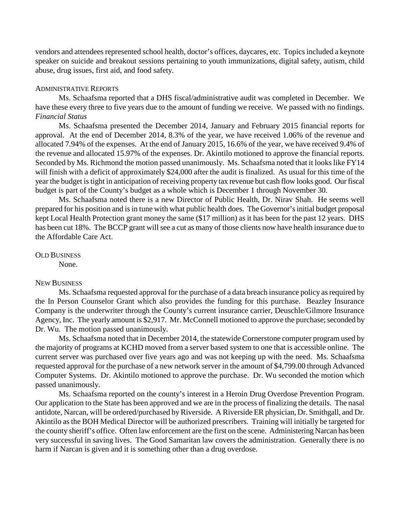vendors and attendees represented school health, doctor's offices, daycares, etc. Topics included a keynote speaker on suicide and breakout sessions pertaining to youth immunizations, digital safety, autism, child abuse, drug issues, first aid, and food safety.

#### ADMINISTRATIVE REPORTS

Ms. Schaafsma reported that a DHS fiscal/administrative audit was completed in December. We have these every three to five years due to the amount of funding we receive. We passed with no findings. *Financial Status*

Ms. Schaafsma presented the December 2014, January and February 2015 financial reports for approval. At the end of December 2014, 8.3% of the year, we have received 1.06% of the revenue and allocated 7.94% of the expenses. At the end of January 2015, 16.6% of the year, we have received 9.4% of the revenue and allocated 15.97% of the expenses. Dr. Akintilo motioned to approve the financial reports. Seconded by Ms. Richmond the motion passed unanimously. Ms. Schaafsma noted that it looks like FY14 will finish with a deficit of approximately \$24,000 after the audit is finalized. As usual for this time of the year the budget is tight in anticipation of receiving property tax revenue but cash flow looks good. Our fiscal budget is part of the County's budget as a whole which is December 1 through November 30.

Ms. Schaafsma noted there is a new Director of Public Health, Dr. Nirav Shah. He seems well prepared for his position and is in tune with what public health does. The Governor's initial budget proposal kept Local Health Protection grant money the same (\$17 million) as it has been for the past 12 years. DHS has been cut 18%. The BCCP grant will see a cut as many of those clients now have health insurance due to the Affordable Care Act.

OLD BUSINESS

None.

#### NEW BUSINESS

Ms. Schaafsma requested approval for the purchase of a data breach insurance policy as required by the In Person Counselor Grant which also provides the funding for this purchase. Beazley Insurance Company is the underwriter through the County's current insurance carrier, Deuschle/Gilmore Insurance Agency, Inc. The yearly amount is \$2,917. Mr. McConnell motioned to approve the purchase; seconded by Dr. Wu. The motion passed unanimously.

Ms. Schaafsma noted that in December 2014, the statewide Cornerstone computer program used by the majority of programs at KCHD moved from a server based system to one that is accessible online. The current server was purchased over five years ago and was not keeping up with the need. Ms. Schaafsma requested approval for the purchase of a new network server in the amount of \$4,799.00 through Advanced Computer Systems. Dr. Akintilo motioned to approve the purchase. Dr. Wu seconded the motion which passed unanimously.

Ms. Schaafsma reported on the county's interest in a Heroin Drug Overdose Prevention Program. Our application to the State has been approved and we are in the process of finalizing the details. The nasal antidote, Narcan, will be ordered/purchased by Riverside. A Riverside ER physician, Dr. Smithgall, and Dr. Akintilo as the BOH Medical Director will be authorized prescribers. Training will initially be targeted for the county sheriff's office. Often law enforcement are the first on the scene. Administering Narcan has been very successful in saving lives. The Good Samaritan law covers the administration. Generally there is no harm if Narcan is given and it is something other than a drug overdose.